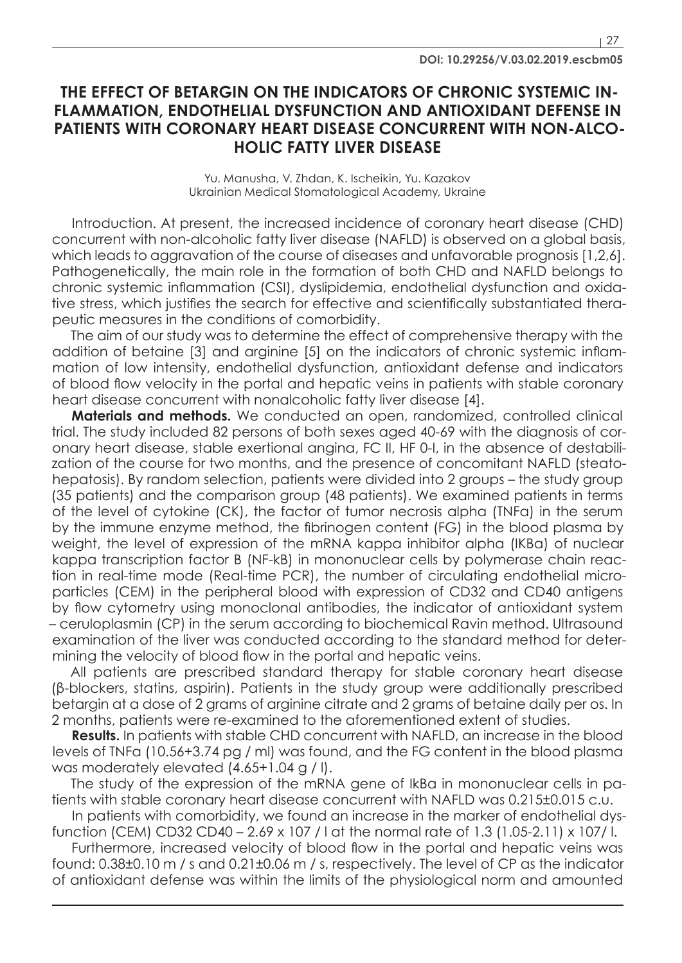## **THE EFFECT OF BETARGIN ON THE INDICATORS OF CHRONIC SYSTEMIC IN-FLAMMATION, ENDOTHELIAL DYSFUNCTION AND ANTIOXIDANT DEFENSE IN PATIENTS WITH CORONARY HEART DISEASE CONCURRENT WITH NON-ALCO-HOLIC FATTY LIVER DISEASE**

Yu. Manusha, V. Zhdan, K. Ischeikin, Yu. Kazakov Ukrainian Medical Stomatological Academy, Ukraine

Introduction. At present, the increased incidence of coronary heart disease (CHD) concurrent with non-alcoholic fatty liver disease (NAFLD) is observed on a global basis, which leads to aggravation of the course of diseases and unfavorable prognosis [1,2,6]. Pathogenetically, the main role in the formation of both CHD and NAFLD belongs to chronic systemic inflammation (CSI), dyslipidemia, endothelial dysfunction and oxidative stress, which justifies the search for effective and scientifically substantiated therapeutic measures in the conditions of comorbidity.

The aim of our study was to determine the effect of comprehensive therapy with the addition of betaine [3] and arginine [5] on the indicators of chronic systemic inflammation of low intensity, endothelial dysfunction, antioxidant defense and indicators of blood flow velocity in the portal and hepatic veins in patients with stable coronary heart disease concurrent with nonalcoholic fatty liver disease [4].

**Materials and methods.** We conducted an open, randomized, controlled clinical trial. The study included 82 persons of both sexes aged 40-69 with the diagnosis of coronary heart disease, stable exertional angina, FC II, HF 0-I, in the absence of destabilization of the course for two months, and the presence of concomitant NAFLD (steatohepatosis). By random selection, patients were divided into 2 groups – the study group (35 patients) and the comparison group (48 patients). We examined patients in terms of the level of cytokine (CK), the factor of tumor necrosis alpha (TNFα) in the serum by the immune enzyme method, the fibrinogen content (FG) in the blood plasma by weight, the level of expression of the mRNA kappa inhibitor alpha (IKBa) of nuclear kappa transcription factor B (NF-kB) in mononuclear cells by polymerase chain reaction in real-time mode (Real-time PCR), the number of circulating endothelial microparticles (CEM) in the peripheral blood with expression of CD32 and CD40 antigens by flow cytometry using monoclonal antibodies, the indicator of antioxidant system – ceruloplasmin (CP) in the serum according to biochemical Ravin method. Ultrasound examination of the liver was conducted according to the standard method for determining the velocity of blood flow in the portal and hepatic veins.

All patients are prescribed standard therapy for stable coronary heart disease (β-blockers, statins, aspirin). Patients in the study group were additionally prescribed betargin at a dose of 2 grams of arginine citrate and 2 grams of betaine daily per os. In 2 months, patients were re-examined to the aforementioned extent of studies.

**Results.** In patients with stable CHD concurrent with NAFLD, an increase in the blood levels of TNFα (10.56+3.74 pg / ml) was found, and the FG content in the blood plasma was moderately elevated (4.65+1.04 g / l).

The study of the expression of the mRNA gene of IkBa in mononuclear cells in patients with stable coronary heart disease concurrent with NAFLD was 0.215±0.015 c.u.

In patients with comorbidity, we found an increase in the marker of endothelial dysfunction (CEM) CD32 CD40 – 2.69 x 107 / l at the normal rate of 1.3 (1.05-2.11) x 107/ l.

Furthermore, increased velocity of blood flow in the portal and hepatic veins was found: 0.38±0.10 m / s and 0.21±0.06 m / s, respectively. The level of CP as the indicator of antioxidant defense was within the limits of the physiological norm and amounted